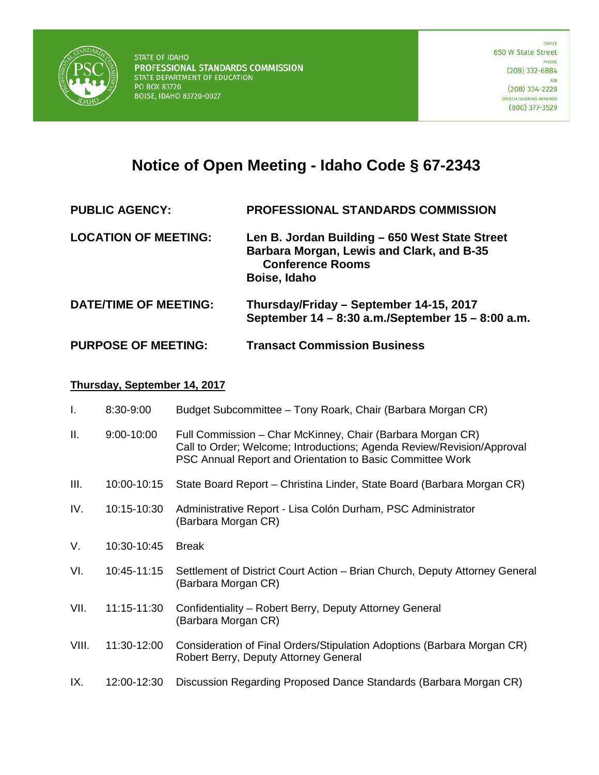

# **Notice of Open Meeting - Idaho Code § 67-2343**

- **PUBLIC AGENCY: PROFESSIONAL STANDARDS COMMISSION**
- **LOCATION OF MEETING: Len B. Jordan Building – 650 West State Street Barbara Morgan, Lewis and Clark, and B-35 Conference Rooms Boise, Idaho**
- **DATE/TIME OF MEETING: Thursday/Friday – September 14-15, 2017 September 14 – 8:30 a.m./September 15 – 8:00 a.m.**

## **PURPOSE OF MEETING: Transact Commission Business**

#### **Thursday, September 14, 2017**

| Ι.    | 8:30-9:00   | Budget Subcommittee - Tony Roark, Chair (Barbara Morgan CR)                                                                                                                                       |
|-------|-------------|---------------------------------------------------------------------------------------------------------------------------------------------------------------------------------------------------|
| Ш.    | 9:00-10:00  | Full Commission – Char McKinney, Chair (Barbara Morgan CR)<br>Call to Order; Welcome; Introductions; Agenda Review/Revision/Approval<br>PSC Annual Report and Orientation to Basic Committee Work |
| Ш.    | 10:00-10:15 | State Board Report – Christina Linder, State Board (Barbara Morgan CR)                                                                                                                            |
| IV.   | 10:15-10:30 | Administrative Report - Lisa Colón Durham, PSC Administrator<br>(Barbara Morgan CR)                                                                                                               |
| V.    | 10:30-10:45 | <b>Break</b>                                                                                                                                                                                      |
| VI.   | 10:45-11:15 | Settlement of District Court Action – Brian Church, Deputy Attorney General<br>(Barbara Morgan CR)                                                                                                |
| VII.  | 11:15-11:30 | Confidentiality – Robert Berry, Deputy Attorney General<br>(Barbara Morgan CR)                                                                                                                    |
| VIII. | 11:30-12:00 | Consideration of Final Orders/Stipulation Adoptions (Barbara Morgan CR)<br>Robert Berry, Deputy Attorney General                                                                                  |
| IX.   | 12:00-12:30 | Discussion Regarding Proposed Dance Standards (Barbara Morgan CR)                                                                                                                                 |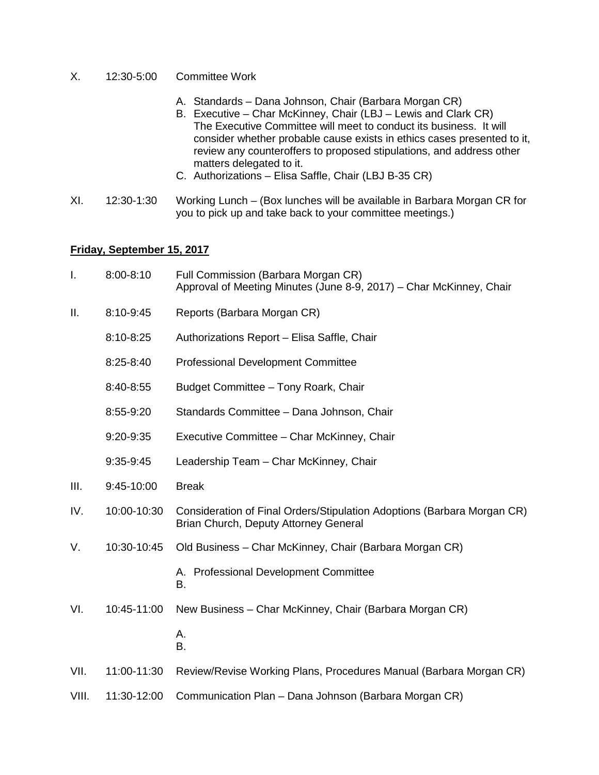- X. 12:30-5:00 Committee Work
	- A. Standards Dana Johnson, Chair (Barbara Morgan CR)
	- B. Executive Char McKinney, Chair (LBJ Lewis and Clark CR) The Executive Committee will meet to conduct its business. It will consider whether probable cause exists in ethics cases presented to it, review any counteroffers to proposed stipulations, and address other matters delegated to it.
	- C. Authorizations Elisa Saffle, Chair (LBJ B-35 CR)
- XI. 12:30-1:30 Working Lunch (Box lunches will be available in Barbara Morgan CR for you to pick up and take back to your committee meetings.)

### **Friday, September 15, 2017**

| I.    | 8:00-8:10     | Full Commission (Barbara Morgan CR)<br>Approval of Meeting Minutes (June 8-9, 2017) – Char McKinney, Chair       |
|-------|---------------|------------------------------------------------------------------------------------------------------------------|
| Ш.    | 8:10-9:45     | Reports (Barbara Morgan CR)                                                                                      |
|       | 8:10-8:25     | Authorizations Report - Elisa Saffle, Chair                                                                      |
|       | $8:25 - 8:40$ | <b>Professional Development Committee</b>                                                                        |
|       | 8:40-8:55     | Budget Committee - Tony Roark, Chair                                                                             |
|       | 8:55-9:20     | Standards Committee - Dana Johnson, Chair                                                                        |
|       | 9:20-9:35     | Executive Committee - Char McKinney, Chair                                                                       |
|       | 9:35-9:45     | Leadership Team - Char McKinney, Chair                                                                           |
| III.  | 9:45-10:00    | <b>Break</b>                                                                                                     |
| IV.   | 10:00-10:30   | Consideration of Final Orders/Stipulation Adoptions (Barbara Morgan CR)<br>Brian Church, Deputy Attorney General |
| V.    | 10:30-10:45   | Old Business - Char McKinney, Chair (Barbara Morgan CR)                                                          |
|       |               | A. Professional Development Committee<br>B.                                                                      |
| VI.   | 10:45-11:00   | New Business - Char McKinney, Chair (Barbara Morgan CR)                                                          |
|       |               | А.<br>B.                                                                                                         |
| VII.  | 11:00-11:30   | Review/Revise Working Plans, Procedures Manual (Barbara Morgan CR)                                               |
| VIII. | 11:30-12:00   | Communication Plan - Dana Johnson (Barbara Morgan CR)                                                            |